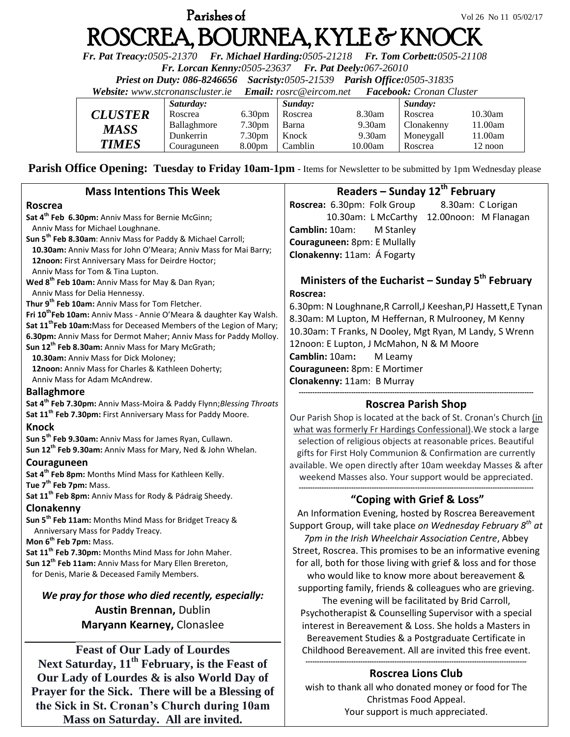# **Parishes of**  $Vol\ 26\ 10\ 05/02/17$ ROSCREA, BOURNEA, KYLE & KNOCK

*Fr. Pat Treacy:0505-21370 Fr. Michael Harding:0505-21218 Fr. Tom Corbett:0505-21108* 

*Fr. Lorcan Kenny:0505-23637 Fr. Pat Deely:067-26010* 

*Priest on Duty: 086-8246656 Sacristy:0505-21539 Parish Office:0505-31835* 

*Website: [www.stcronanscluster.ie](http://www.stcronanscluster.ie/) Email: [rosrc@eircom.net](mailto:rosrc@eircom.net) Facebook: Cronan Cluster* 

|                | Saturday:   |                    | Sunday: |         | Sunday:    |          |
|----------------|-------------|--------------------|---------|---------|------------|----------|
| <b>CLUSTER</b> | Roscrea     | 6.30 <sub>pm</sub> | Roscrea | 8.30am  | Roscrea    | 10.30am  |
| MASS           | Ballaghmore | 7.30 <sub>pm</sub> | Barna   | 9.30am  | Clonakenny | 11.00am  |
|                | Dunkerrin   | 7.30 <sub>pm</sub> | Knock   | 9.30am  | Moneygall  | l 1.00am |
| <b>TIMES</b>   | Couraguneen | 8.00 <sub>pm</sub> | Camblin | 10.00am | Roscrea    | 12 noon  |

Parish Office Opening: Tuesday to Friday 10am-1pm - Items for Newsletter to be submitted by 1pm Wednesday please

| <b>Mass Intentions This Week</b>                                                              | Readers - Sunday 12th February                                          |  |  |  |
|-----------------------------------------------------------------------------------------------|-------------------------------------------------------------------------|--|--|--|
| <b>Roscrea</b>                                                                                | 8.30am: C Lorigan<br>Roscrea: 6.30pm: Folk Group                        |  |  |  |
| Sat 4 <sup>th</sup> Feb 6.30pm: Anniv Mass for Bernie McGinn;                                 | 10.30am: L McCarthy<br>12.00noon: M Flanagan                            |  |  |  |
| Anniv Mass for Michael Loughnane.                                                             | Camblin: 10am:<br>M Stanley                                             |  |  |  |
| Sun 5 <sup>th</sup> Feb 8.30am: Anniv Mass for Paddy & Michael Carroll;                       | Couraguneen: 8pm: E Mullally                                            |  |  |  |
| 10.30am: Anniv Mass for John O'Meara; Anniv Mass for Mai Barry;                               | Clonakenny: 11am: Á Fogarty                                             |  |  |  |
| 12noon: First Anniversary Mass for Deirdre Hoctor;                                            |                                                                         |  |  |  |
| Anniv Mass for Tom & Tina Lupton.                                                             | Ministers of the Eucharist – Sunday $5^{th}$ February                   |  |  |  |
| Wed 8 <sup>th</sup> Feb 10am: Anniv Mass for May & Dan Ryan;                                  |                                                                         |  |  |  |
| Anniv Mass for Delia Hennessy.<br>Thur 9 <sup>th</sup> Feb 10am: Anniv Mass for Tom Fletcher. | Roscrea:                                                                |  |  |  |
| Fri 10 <sup>th</sup> Feb 10am: Anniv Mass - Annie O'Meara & daughter Kay Walsh.               | 6.30pm: N Loughnane, R Carroll, J Keeshan, PJ Hassett, E Tynan          |  |  |  |
| Sat 11 <sup>th</sup> Feb 10am: Mass for Deceased Members of the Legion of Mary;               | 8.30am: M Lupton, M Heffernan, R Mulrooney, M Kenny                     |  |  |  |
| 6.30pm: Anniv Mass for Dermot Maher; Anniv Mass for Paddy Molloy.                             | 10.30am: T Franks, N Dooley, Mgt Ryan, M Landy, S Wrenn                 |  |  |  |
| Sun 12 <sup>th</sup> Feb 8.30am: Anniv Mass for Mary McGrath;                                 | 12noon: E Lupton, J McMahon, N & M Moore                                |  |  |  |
| 10.30am: Anniv Mass for Dick Moloney;                                                         | Camblin: 10am:<br>M Leamy                                               |  |  |  |
| 12noon: Anniv Mass for Charles & Kathleen Doherty;                                            | Couraguneen: 8pm: E Mortimer                                            |  |  |  |
| Anniy Mass for Adam McAndrew.                                                                 | Clonakenny: 11am: B Murray                                              |  |  |  |
| <b>Ballaghmore</b>                                                                            |                                                                         |  |  |  |
| Sat 4 <sup>th</sup> Feb 7.30pm: Anniv Mass-Moira & Paddy Flynn; Blessing Throats              | <b>Roscrea Parish Shop</b>                                              |  |  |  |
| Sat 11 <sup>th</sup> Feb 7.30pm: First Anniversary Mass for Paddy Moore.                      | Our Parish Shop is located at the back of St. Cronan's Church (in       |  |  |  |
| <b>Knock</b>                                                                                  | what was formerly Fr Hardings Confessional). We stock a large           |  |  |  |
| Sun 5 <sup>th</sup> Feb 9.30am: Anniv Mass for James Ryan, Cullawn.                           | selection of religious objects at reasonable prices. Beautiful          |  |  |  |
| Sun 12 <sup>th</sup> Feb 9.30am: Anniv Mass for Mary, Ned & John Whelan.                      | gifts for First Holy Communion & Confirmation are currently             |  |  |  |
| Couraguneen                                                                                   | available. We open directly after 10am weekday Masses & after           |  |  |  |
| Sat 4 <sup>th</sup> Feb 8pm: Months Mind Mass for Kathleen Kelly.                             | weekend Masses also. Your support would be appreciated.                 |  |  |  |
| Tue 7 <sup>th</sup> Feb 7pm: Mass.                                                            |                                                                         |  |  |  |
| Sat 11 <sup>th</sup> Feb 8pm: Anniv Mass for Rody & Pádraig Sheedy.                           | "Coping with Grief & Loss"                                              |  |  |  |
| Clonakenny                                                                                    |                                                                         |  |  |  |
| Sun 5 <sup>th</sup> Feb 11am: Months Mind Mass for Bridget Treacy &                           | An Information Evening, hosted by Roscrea Bereavement                   |  |  |  |
| Anniversary Mass for Paddy Treacy.                                                            | Support Group, will take place on Wednesday February 8 <sup>th</sup> at |  |  |  |
| Mon 6 <sup>th</sup> Feb 7pm: Mass.                                                            | 7pm in the Irish Wheelchair Association Centre, Abbey                   |  |  |  |
| Sat 11 <sup>th</sup> Feb 7.30pm: Months Mind Mass for John Maher.                             | Street, Roscrea. This promises to be an informative evening             |  |  |  |
| Sun 12 <sup>th</sup> Feb 11am: Anniv Mass for Mary Ellen Brereton,                            | for all, both for those living with grief & loss and for those          |  |  |  |
| for Denis, Marie & Deceased Family Members.                                                   | who would like to know more about bereavement &                         |  |  |  |
|                                                                                               | supporting family, friends & colleagues who are grieving.               |  |  |  |
| We pray for those who died recently, especially:                                              | The evening will be facilitated by Brid Carroll,                        |  |  |  |
| <b>Austin Brennan, Dublin</b>                                                                 | Psychotherapist & Counselling Supervisor with a special                 |  |  |  |
| Maryann Kearney, Clonaslee                                                                    | interest in Bereavement & Loss. She holds a Masters in                  |  |  |  |
|                                                                                               | Bereavement Studies & a Postgraduate Certificate in                     |  |  |  |
| <b>Feast of Our Lady of Lourdes</b>                                                           | Childhood Bereavement. All are invited this free event.                 |  |  |  |
| Next Saturday, 11 <sup>th</sup> February, is the Feast of                                     |                                                                         |  |  |  |
|                                                                                               | Docesso Lions Club                                                      |  |  |  |

**Our Lady of Lourdes & is also World Day of Prayer for the Sick. There will be a Blessing of the Sick in St. Cronan's Church during 10am Mass on Saturday. All are invited.**

# **Roscrea Lions Club**

wish to thank all who donated money or food for The Christmas Food Appeal. Your support is much appreciated.